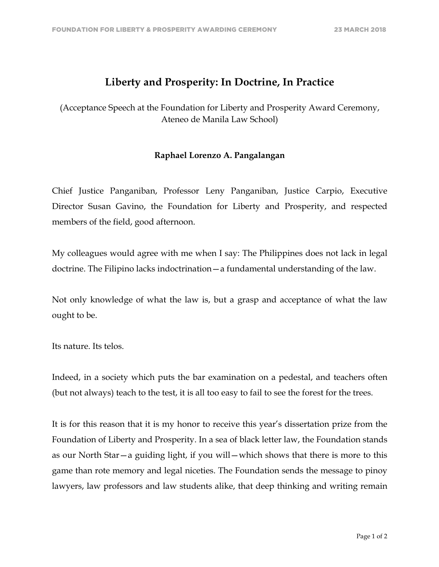## **Liberty and Prosperity: In Doctrine, In Practice**

(Acceptance Speech at the Foundation for Liberty and Prosperity Award Ceremony, Ateneo de Manila Law School)

## **Raphael Lorenzo A. Pangalangan**

Chief Justice Panganiban, Professor Leny Panganiban, Justice Carpio, Executive Director Susan Gavino, the Foundation for Liberty and Prosperity, and respected members of the field, good afternoon.

My colleagues would agree with me when I say: The Philippines does not lack in legal doctrine. The Filipino lacks indoctrination—a fundamental understanding of the law.

Not only knowledge of what the law is, but a grasp and acceptance of what the law ought to be.

Its nature. Its telos.

Indeed, in a society which puts the bar examination on a pedestal, and teachers often (but not always) teach to the test, it is all too easy to fail to see the forest for the trees.

It is for this reason that it is my honor to receive this year's dissertation prize from the Foundation of Liberty and Prosperity. In a sea of black letter law, the Foundation stands as our North Star—a guiding light, if you will—which shows that there is more to this game than rote memory and legal niceties. The Foundation sends the message to pinoy lawyers, law professors and law students alike, that deep thinking and writing remain